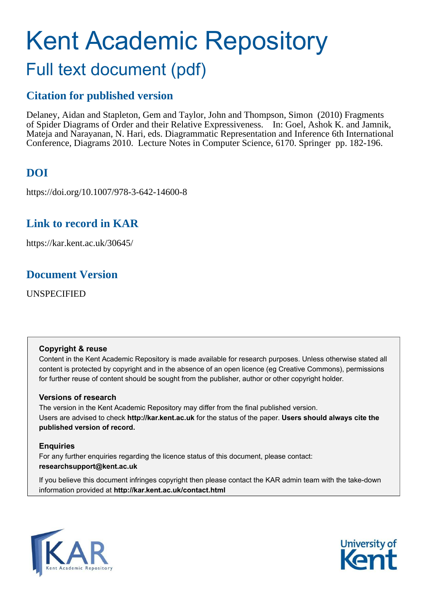# Kent Academic Repository Full text document (pdf)

# **Citation for published version**

Delaney, Aidan and Stapleton, Gem and Taylor, John and Thompson, Simon (2010) Fragments of Spider Diagrams of Order and their Relative Expressiveness. In: Goel, Ashok K. and Jamnik, Mateja and Narayanan, N. Hari, eds. Diagrammatic Representation and Inference 6th International Conference, Diagrams 2010. Lecture Notes in Computer Science, 6170. Springer pp. 182-196.

# **DOI**

https://doi.org/10.1007/978-3-642-14600-8

## **Link to record in KAR**

https://kar.kent.ac.uk/30645/

## **Document Version**

UNSPECIFIED

## **Copyright & reuse**

Content in the Kent Academic Repository is made available for research purposes. Unless otherwise stated all content is protected by copyright and in the absence of an open licence (eg Creative Commons), permissions for further reuse of content should be sought from the publisher, author or other copyright holder.

## **Versions of research**

The version in the Kent Academic Repository may differ from the final published version. Users are advised to check **http://kar.kent.ac.uk** for the status of the paper. **Users should always cite the published version of record.**

## **Enquiries**

For any further enquiries regarding the licence status of this document, please contact: **researchsupport@kent.ac.uk**

If you believe this document infringes copyright then please contact the KAR admin team with the take-down information provided at **http://kar.kent.ac.uk/contact.html**



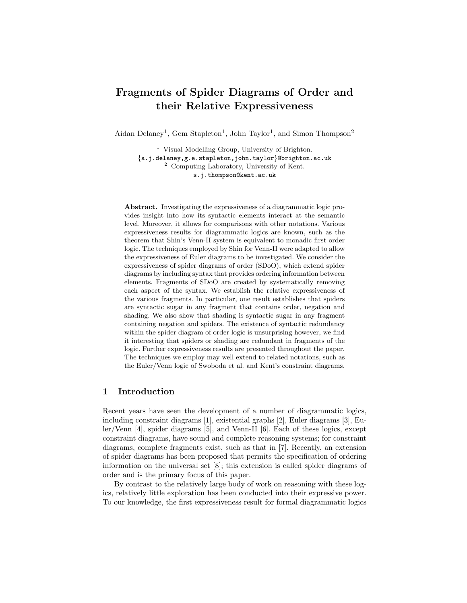## Fragments of Spider Diagrams of Order and their Relative Expressiveness

Aidan Delaney<sup>1</sup>, Gem Stapleton<sup>1</sup>, John Taylor<sup>1</sup>, and Simon Thompson<sup>2</sup>

<sup>1</sup> Visual Modelling Group, University of Brighton. {a.j.delaney,g.e.stapleton,john.taylor}@brighton.ac.uk <sup>2</sup> Computing Laboratory, University of Kent. s.j.thompson@kent.ac.uk

Abstract. Investigating the expressiveness of a diagrammatic logic provides insight into how its syntactic elements interact at the semantic level. Moreover, it allows for comparisons with other notations. Various expressiveness results for diagrammatic logics are known, such as the theorem that Shin's Venn-II system is equivalent to monadic first order logic. The techniques employed by Shin for Venn-II were adapted to allow the expressiveness of Euler diagrams to be investigated. We consider the expressiveness of spider diagrams of order (SDoO), which extend spider diagrams by including syntax that provides ordering information between elements. Fragments of SDoO are created by systematically removing each aspect of the syntax. We establish the relative expressiveness of the various fragments. In particular, one result establishes that spiders are syntactic sugar in any fragment that contains order, negation and shading. We also show that shading is syntactic sugar in any fragment containing negation and spiders. The existence of syntactic redundancy within the spider diagram of order logic is unsurprising however, we find it interesting that spiders or shading are redundant in fragments of the logic. Further expressiveness results are presented throughout the paper. The techniques we employ may well extend to related notations, such as the Euler/Venn logic of Swoboda et al. and Kent's constraint diagrams.

#### 1 Introduction

Recent years have seen the development of a number of diagrammatic logics, including constraint diagrams [1], existential graphs [2], Euler diagrams [3], Euler/Venn [4], spider diagrams [5], and Venn-II [6]. Each of these logics, except constraint diagrams, have sound and complete reasoning systems; for constraint diagrams, complete fragments exist, such as that in [7]. Recently, an extension of spider diagrams has been proposed that permits the specification of ordering information on the universal set [8]; this extension is called spider diagrams of order and is the primary focus of this paper.

By contrast to the relatively large body of work on reasoning with these logics, relatively little exploration has been conducted into their expressive power. To our knowledge, the first expressiveness result for formal diagrammatic logics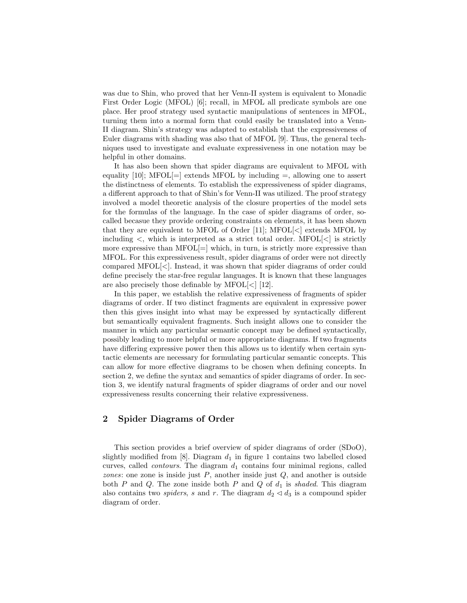was due to Shin, who proved that her Venn-II system is equivalent to Monadic First Order Logic (MFOL) [6]; recall, in MFOL all predicate symbols are one place. Her proof strategy used syntactic manipulations of sentences in MFOL, turning them into a normal form that could easily be translated into a Venn-II diagram. Shin's strategy was adapted to establish that the expressiveness of Euler diagrams with shading was also that of MFOL [9]. Thus, the general techniques used to investigate and evaluate expressiveness in one notation may be helpful in other domains.

It has also been shown that spider diagrams are equivalent to MFOL with equality  $[10]$ ; MFOL $[=]$  extends MFOL by including  $=$ , allowing one to assert the distinctness of elements. To establish the expressiveness of spider diagrams, a different approach to that of Shin's for Venn-II was utilized. The proof strategy involved a model theoretic analysis of the closure properties of the model sets for the formulas of the language. In the case of spider diagrams of order, socalled becasue they provide ordering constraints on elements, it has been shown that they are equivalent to MFOL of Order [11]; MFOL[<] extends MFOL by including  $\lt$ , which is interpreted as a strict total order. MFOL $\lt$  is strictly more expressive than  $\text{MFOL}$  = which, in turn, is strictly more expressive than MFOL. For this expressiveness result, spider diagrams of order were not directly compared MFOL $\leq$ . Instead, it was shown that spider diagrams of order could define precisely the star-free regular languages. It is known that these languages are also precisely those definable by  $\text{MFOL}[\lt]}[12]$ .

In this paper, we establish the relative expressiveness of fragments of spider diagrams of order. If two distinct fragments are equivalent in expressive power then this gives insight into what may be expressed by syntactically different but semantically equivalent fragments. Such insight allows one to consider the manner in which any particular semantic concept may be defined syntactically, possibly leading to more helpful or more appropriate diagrams. If two fragments have differing expressive power then this allows us to identify when certain syntactic elements are necessary for formulating particular semantic concepts. This can allow for more effective diagrams to be chosen when defining concepts. In section 2, we define the syntax and semantics of spider diagrams of order. In section 3, we identify natural fragments of spider diagrams of order and our novel expressiveness results concerning their relative expressiveness.

#### 2 Spider Diagrams of Order

This section provides a brief overview of spider diagrams of order (SDoO), slightly modified from  $[8]$ . Diagram  $d_1$  in figure 1 contains two labelled closed curves, called *contours*. The diagram  $d_1$  contains four minimal regions, called *zones*: one zone is inside just P, another inside just Q, and another is outside both P and Q. The zone inside both P and Q of  $d_1$  is *shaded*. This diagram also contains two *spiders*, s and r. The diagram  $d_2 \triangleleft d_3$  is a compound spider diagram of order.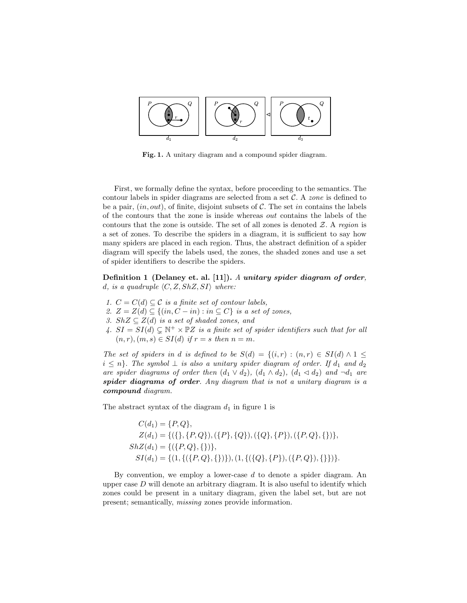

Fig. 1. A unitary diagram and a compound spider diagram.

First, we formally define the syntax, before proceeding to the semantics. The contour labels in spider diagrams are selected from a set C. A *zone* is defined to be a pair,  $(in, out)$ , of finite, disjoint subsets of C. The set in contains the labels of the contours that the zone is inside whereas out contains the labels of the contours that the zone is outside. The set of all zones is denoted Z. A *region* is a set of zones. To describe the spiders in a diagram, it is sufficient to say how many spiders are placed in each region. Thus, the abstract definition of a spider diagram will specify the labels used, the zones, the shaded zones and use a set of spider identifiers to describe the spiders.

Definition 1 (Delaney et. al. [11]). *A* unitary spider diagram of order*,* d, is a quadruple  $\langle C, Z, ShZ, SI \rangle$  where:

- *1.*  $C = C(d) \subseteq \mathcal{C}$  *is a finite set of contour labels,*
- 2.  $Z = Z(d) \subseteq \{(in, C in) : in \subseteq C\}$  *is a set of zones,*
- *3.*  $ShZ \subseteq Z(d)$  *is a set of shaded zones, and*
- 4.  $SI = SI(d) \subsetneq \mathbb{N}^+ \times \mathbb{P}Z$  *is a finite set of spider identifiers such that for all*  $(n, r), (m, s) \in SI(d)$  *if*  $r = s$  *then*  $n = m$ *.*

*The set of spiders in d is defined to be*  $S(d) = \{(i, r) : (n, r) \in SI(d) \land 1 \leq$  $i \leq n$ . The symbol  $\perp$  *is also a unitary spider diagram of order. If*  $d_1$  *and*  $d_2$ *are spider diagrams of order then*  $(d_1 \vee d_2)$ ,  $(d_1 \wedge d_2)$ ,  $(d_1 \triangleleft d_2)$  *and*  $\neg d_1$  *are* spider diagrams of order*. Any diagram that is not a unitary diagram is a* compound *diagram.*

The abstract syntax of the diagram  $d_1$  in figure 1 is

$$
C(d_1) = \{P, Q\},
$$
  
\n
$$
Z(d_1) = \{(\{\}, \{P, Q\}), (\{P\}, \{Q\}), (\{Q\}, \{P\}), (\{P, Q\}, \{\})\},
$$
  
\n
$$
ShZ(d_1) = \{(\{P, Q\}, \{\})\},
$$
  
\n
$$
SI(d_1) = \{ (1, \{(\{P, Q\}, \{\})\}), (1, \{(\{Q\}, \{P\}), (\{P, Q\}), \{\})\} \}.
$$

By convention, we employ a lower-case  $d$  to denote a spider diagram. An upper case  $D$  will denote an arbitrary diagram. It is also useful to identify which zones could be present in a unitary diagram, given the label set, but are not present; semantically, *missing* zones provide information.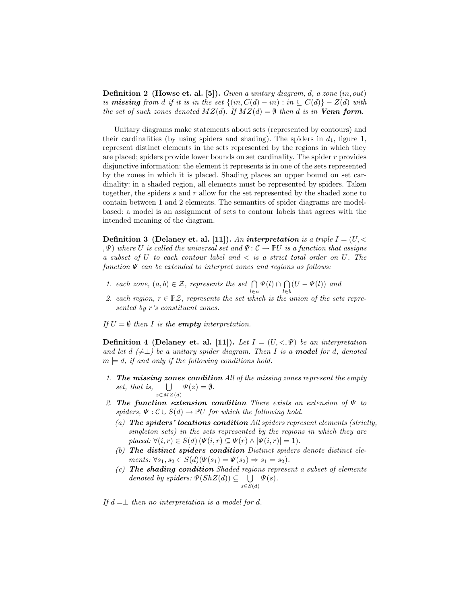Definition 2 (Howse et. al. [5]). *Given a unitary diagram,* d*, a zone* (in, out) *is* missing from d if it is in the set  $\{(in, C(d) - in) : in \subseteq C(d)\} - Z(d)$  with *the set of such zones denoted*  $MZ(d)$ *. If*  $MZ(d) = \emptyset$  *then* d *is in* **Venn form**.

Unitary diagrams make statements about sets (represented by contours) and their cardinalities (by using spiders and shading). The spiders in  $d_1$ , figure 1, represent distinct elements in the sets represented by the regions in which they are placed; spiders provide lower bounds on set cardinality. The spider  $r$  provides disjunctive information: the element it represents is in one of the sets represented by the zones in which it is placed. Shading places an upper bound on set cardinality: in a shaded region, all elements must be represented by spiders. Taken together, the spiders  $s$  and  $r$  allow for the set represented by the shaded zone to contain between 1 and 2 elements. The semantics of spider diagrams are modelbased: a model is an assignment of sets to contour labels that agrees with the intended meaning of the diagram.

**Definition 3 (Delaney et. al. [11]).** An interpretation is a triple  $I = (U, \leq)$  $\mathcal{A}, \Psi$ ) where U is called the universal set and  $\Psi: \mathcal{C} \to \mathbb{P} U$  is a function that assigns *a subset of* U *to each contour label and* < *is a strict total order on* U*. The function* Ψ *can be extended to interpret zones and regions as follows:*

- *1. each zone,*  $(a, b) \in \mathcal{Z}$ *, represents the set*  $\bigcap$ l∈a  $\Psi(l)\cap\bigcap$ l∈b  $(U - \Psi(l))$  *and*
- 2. each region,  $r \in \mathbb{P}Z$ , represents the set which is the union of the sets repre*sented by* r*'s constituent zones.*
- *If*  $U = \emptyset$  *then I is the empty interpretation.*

**Definition 4 (Delaney et. al. [11]).** *Let*  $I = (U, \langle \cdot, \Psi \rangle)$  *be an interpretation and let*  $d \neq \perp$  *be a unitary spider diagram. Then I is a model for <i>d*, denoted  $m \models d$ , if and only if the following conditions hold.

- *1.* The missing zones condition *All of the missing zones represent the empty set, that is,*  $z\in M\bar{Z}(d)$  $\Psi(z)=\emptyset$  .
- *2.* The function extension condition *There exists an extension of* Ψ *to spiders,*  $\Psi : \mathcal{C} \cup S(d) \rightarrow \mathbb{P}U$  *for which the following hold.* 
	- *(a)* The spiders' locations condition *All spiders represent elements (strictly, singleton sets) in the sets represented by the regions in which they are*  $placed: \forall (i, r) \in S(d)$   $(\Psi(i, r) \subseteq \Psi(r) \land |\Psi(i, r)| = 1)$ .
	- *(b)* The distinct spiders condition *Distinct spiders denote distinct elements:*  $\forall s_1, s_2 \in S(d)(\Psi(s_1) = \Psi(s_2) \Rightarrow s_1 = s_2)$ .
	- *(c)* The shading condition *Shaded regions represent a subset of elements denoted by spiders:*  $\Psi(ShZ(d)) \subseteq \bigcup \Psi(s)$ *.*  $s\in S(d)$

*If*  $d = \perp$  *then no interpretation is a model for d.*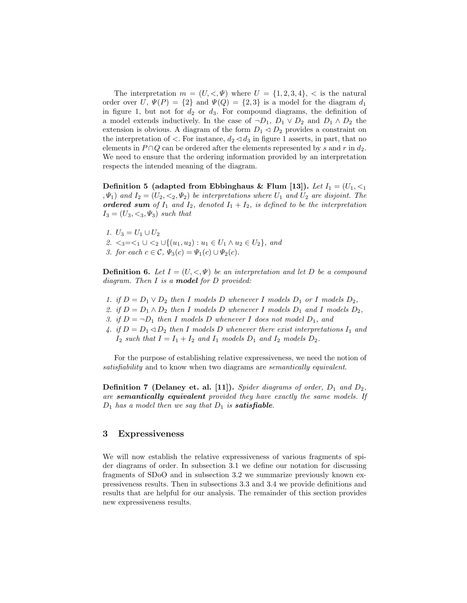The interpretation  $m = (U, \langle \Psi \rangle)$  where  $U = \{1, 2, 3, 4\}, \langle \Psi \rangle$  is the natural order over U,  $\Psi(P) = \{2\}$  and  $\Psi(Q) = \{2,3\}$  is a model for the diagram  $d_1$ in figure 1, but not for  $d_2$  or  $d_3$ . For compound diagrams, the definition of a model extends inductively. In the case of  $\neg D_1$ ,  $D_1 \vee D_2$  and  $D_1 \wedge D_2$  the extension is obvious. A diagram of the form  $D_1 \triangleleft D_2$  provides a constraint on the interpretation of  $\lt$ . For instance,  $d_2 \lt d_3$  in figure 1 asserts, in part, that no elements in  $P \cap Q$  can be ordered after the elements represented by s and r in  $d_2$ . We need to ensure that the ordering information provided by an interpretation respects the intended meaning of the diagram.

Definition 5 (adapted from Ebbinghaus & Flum [13]). Let  $I_1 = (U_1, \langle U_1 \rangle)$  $, \Psi_1$ ) and  $I_2 = (U_2, \langle 2, \Psi_2 \rangle)$  *be interpretations where*  $U_1$  *and*  $U_2$  *are disjoint. The* ordered sum of  $I_1$  and  $I_2$ , denoted  $I_1 + I_2$ , is defined to be the interpretation  $I_3 = (U_3, \langle 3, \Psi_3 \rangle)$  *such that* 

*1.*  $U_3 = U_1 \cup U_2$ *2.*  $\lt_3 = \lt_1 ∪ \lt_2 ∪ \{(u_1, u_2) : u_1 \in U_1 ∧ u_2 \in U_2\}$ *, and 3. for each*  $c \in \mathcal{C}$ ,  $\Psi_3(c) = \Psi_1(c) \cup \Psi_2(c)$ .

**Definition 6.** Let  $I = (U, \leq, \Psi)$  be an interpretation and let D be a compound *diagram. Then* I *is a* model *for* D *provided:*

- *1. if*  $D = D_1 \vee D_2$  *then I models D whenever I models*  $D_1$  *or I models*  $D_2$ *,*
- 2. if  $D = D_1 \wedge D_2$  then I models D whenever I models  $D_1$  and I models  $D_2$ ,
- *3. if*  $D = \neg D_1$  *then I* models *D* whenever *I* does not model  $D_1$ *, and*
- 4. if  $D = D_1 \triangleleft D_2$  *then* I models D whenever there exist interpretations  $I_1$  and  $I_2$  *such that*  $I = I_1 + I_2$  *and*  $I_1$  *models*  $D_1$  *and*  $I_2$  *models*  $D_2$ *.*

For the purpose of establishing relative expressiveness, we need the notion of *satisfiability* and to know when two diagrams are *semantically equivalent*.

Definition 7 (Delaney et. al. [11]). *Spider diagrams of order,*  $D_1$  *and*  $D_2$ *, are* semantically equivalent *provided they have exactly the same models. If*  $D_1$  *has a model then we say that*  $D_1$  *is satisfiable.* 

#### 3 Expressiveness

We will now establish the relative expressiveness of various fragments of spider diagrams of order. In subsection 3.1 we define our notation for discussing fragments of SDoO and in subsection 3.2 we summarize previously known expressiveness results. Then in subsections 3.3 and 3.4 we provide definitions and results that are helpful for our analysis. The remainder of this section provides new expressiveness results.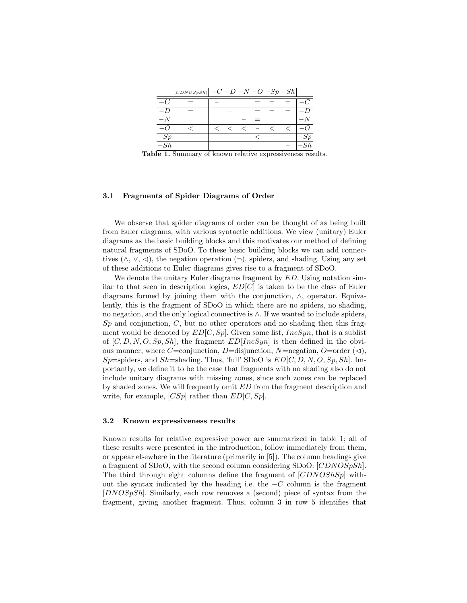|                | $\vert_{[C D N O S p S h]} \vert\vert - C - D - N - O - Sp - Sh \vert$ |  |  |  |  |
|----------------|------------------------------------------------------------------------|--|--|--|--|
|                |                                                                        |  |  |  |  |
|                |                                                                        |  |  |  |  |
| $-\mathcal{N}$ |                                                                        |  |  |  |  |
|                |                                                                        |  |  |  |  |
|                |                                                                        |  |  |  |  |
|                |                                                                        |  |  |  |  |

Table 1. Summary of known relative expressiveness results.

#### 3.1 Fragments of Spider Diagrams of Order

We observe that spider diagrams of order can be thought of as being built from Euler diagrams, with various syntactic additions. We view (unitary) Euler diagrams as the basic building blocks and this motivates our method of defining natural fragments of SDoO. To these basic building blocks we can add connectives  $(\wedge, \vee, \triangleleft)$ , the negation operation  $(\neg)$ , spiders, and shading. Using any set of these additions to Euler diagrams gives rise to a fragment of SDoO.

We denote the unitary Euler diagrams fragment by  $ED$ . Using notation similar to that seen in description logics,  $ED[C]$  is taken to be the class of Euler diagrams formed by joining them with the conjunction, ∧, operator. Equivalently, this is the fragment of SDoO in which there are no spiders, no shading, no negation, and the only logical connective is ∧. If we wanted to include spiders,  $Sp$  and conjunction,  $C$ , but no other operators and no shading then this fragment would be denoted by  $ED[C, Sp]$ . Given some list,  $IncSyn$ , that is a sublist of  $[C, D, N, O, Sp, Sh]$ , the fragment  $ED[IncSyn]$  is then defined in the obvious manner, where  $C=$ conjunction,  $D=$ disjunction,  $N=$ negation,  $O=$ order  $(\lhd)$ ,  $Sp = \text{spiders}$ , and  $Sh = \text{shading}$ . Thus, 'full' SDoO is  $ED[C, D, N, O, Sp, Sh]$ . Importantly, we define it to be the case that fragments with no shading also do not include unitary diagrams with missing zones, since such zones can be replaced by shaded zones. We will frequently omit ED from the fragment description and write, for example,  $[CSp]$  rather than  $ED[C, Sp]$ .

#### 3.2 Known expressiveness results

Known results for relative expressive power are summarized in table 1; all of these results were presented in the introduction, follow immediately from them, or appear elsewhere in the literature (primarily in [5]). The column headings give a fragment of SDoO, with the second column considering SDoO: [CDNOSpSh]. The third through eight columns define the fragment of [CDNOShSp] without the syntax indicated by the heading i.e. the  $-C$  column is the fragment [DNOSpSh]. Similarly, each row removes a (second) piece of syntax from the fragment, giving another fragment. Thus, column 3 in row 5 identifies that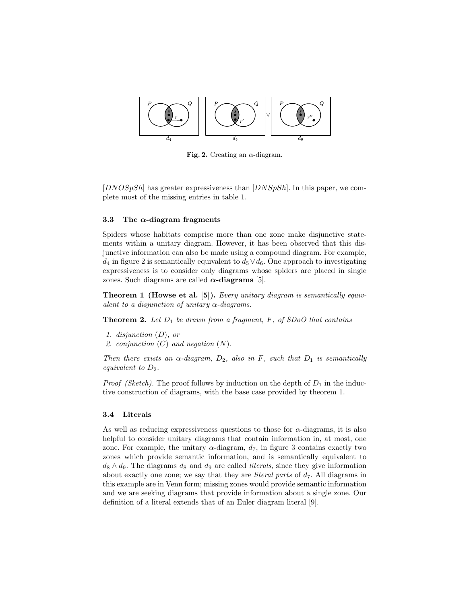

Fig. 2. Creating an  $\alpha$ -diagram.

 $[DNOSpSh]$  has greater expressiveness than  $[DNSpSh]$ . In this paper, we complete most of the missing entries in table 1.

#### 3.3 The  $\alpha$ -diagram fragments

Spiders whose habitats comprise more than one zone make disjunctive statements within a unitary diagram. However, it has been observed that this disjunctive information can also be made using a compound diagram. For example,  $d_4$  in figure 2 is semantically equivalent to  $d_5 \vee d_6$ . One approach to investigating expressiveness is to consider only diagrams whose spiders are placed in single zones. Such diagrams are called  $\alpha$ -diagrams [5].

Theorem 1 (Howse et al. [5]). *Every unitary diagram is semantically equivalent to a disjunction of unitary* α*-diagrams.*

Theorem 2. *Let* D<sup>1</sup> *be drawn from a fragment,* F*, of SDoO that contains*

- *1. disjunction* (D)*, or*
- *2. conjunction* (C) *and negation* (N)*.*

*Then there exists an*  $\alpha$ -diagram,  $D_2$ , also in F, such that  $D_1$  is semantically *equivalent to*  $D_2$ *.* 

*Proof (Sketch)*. The proof follows by induction on the depth of  $D_1$  in the inductive construction of diagrams, with the base case provided by theorem 1.

#### 3.4 Literals

As well as reducing expressiveness questions to those for  $\alpha$ -diagrams, it is also helpful to consider unitary diagrams that contain information in, at most, one zone. For example, the unitary  $\alpha$ -diagram,  $d_7$ , in figure 3 contains exactly two zones which provide semantic information, and is semantically equivalent to  $d_8 \wedge d_9$ . The diagrams  $d_8$  and  $d_9$  are called *literals*, since they give information about exactly one zone; we say that they are *literal parts* of  $d_7$ . All diagrams in this example are in Venn form; missing zones would provide semantic information and we are seeking diagrams that provide information about a single zone. Our definition of a literal extends that of an Euler diagram literal [9].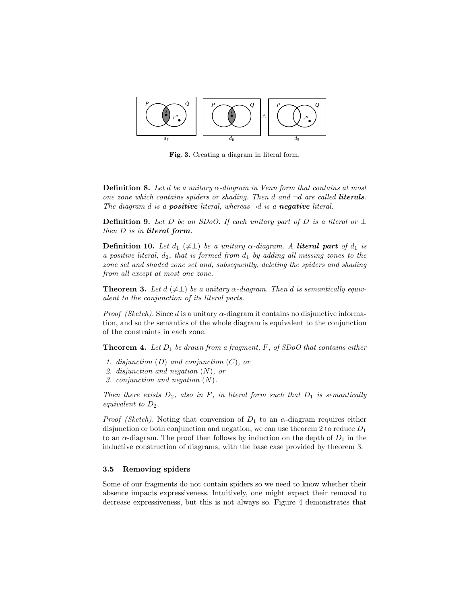

Fig. 3. Creating a diagram in literal form.

Definition 8. *Let* d *be a unitary* α*-diagram in Venn form that contains at most one zone which contains spiders or shading. Then* d *and* ¬d *are called* literals*. The diagram* d *is a* positive *literal, whereas* ¬d *is a* negative *literal.*

Definition 9. *Let* D *be an SDoO. If each unitary part of* D *is a literal or* ⊥ *then* D *is in* literal form*.*

**Definition 10.** Let  $d_1 \neq \perp$  be a unitary  $\alpha$ -diagram. A **literal part** of  $d_1$  is *a positive literal,* d2*, that is formed from* d<sup>1</sup> *by adding all missing zones to the zone set and shaded zone set and, subsequently, deleting the spiders and shading from all except at most one zone.*

**Theorem 3.** Let  $d \neq \perp$  be a unitary  $\alpha$ -diagram. Then d is semantically equiv*alent to the conjunction of its literal parts.*

*Proof (Sketch)*. Since d is a unitary  $\alpha$ -diagram it contains no disjunctive information, and so the semantics of the whole diagram is equivalent to the conjunction of the constraints in each zone.

Theorem 4. *Let* D<sup>1</sup> *be drawn from a fragment,* F*, of SDoO that contains either*

- *1. disjunction* (D) *and conjunction* (C)*, or*
- *2. disjunction and negation* (N)*, or*
- *3. conjunction and negation* (N)*.*

*Then there exists*  $D_2$ *, also in*  $F$ *, in literal form such that*  $D_1$  *is semantically equivalent to*  $D_2$ *.* 

*Proof (Sketch).* Noting that conversion of  $D_1$  to an  $\alpha$ -diagram requires either disjunction or both conjunction and negation, we can use theorem 2 to reduce  $D_1$ to an  $\alpha$ -diagram. The proof then follows by induction on the depth of  $D_1$  in the inductive construction of diagrams, with the base case provided by theorem 3.

#### 3.5 Removing spiders

Some of our fragments do not contain spiders so we need to know whether their absence impacts expressiveness. Intuitively, one might expect their removal to decrease expressiveness, but this is not always so. Figure 4 demonstrates that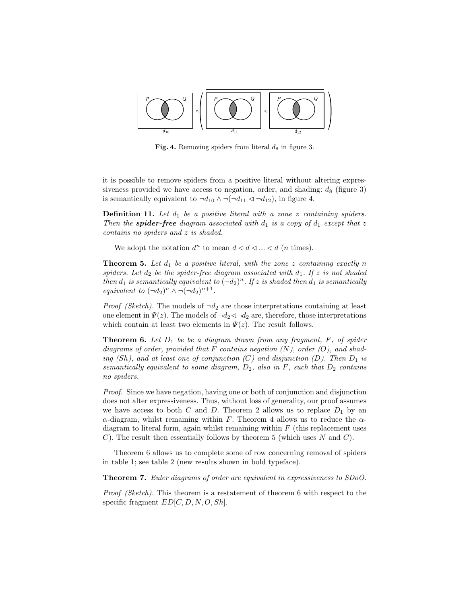

Fig. 4. Removing spiders from literal  $d_8$  in figure 3.

it is possible to remove spiders from a positive literal without altering expressiveness provided we have access to negation, order, and shading:  $d_8$  (figure 3) is semantically equivalent to  $\neg d_{10} \wedge \neg (\neg d_{11} \triangleleft \neg d_{12})$ , in figure 4.

**Definition 11.** Let  $d_1$  be a positive literal with a zone z containing spiders. *Then the spider-free diagram associated with*  $d_1$  *is a copy of*  $d_1$  *except that* z *contains no spiders and* z *is shaded.*

We adopt the notation  $d^n$  to mean  $d \triangleleft d \triangleleft ... \triangleleft d$  (*n* times).

**Theorem 5.** Let  $d_1$  be a positive literal, with the zone z containing exactly n  $spiders.$  Let  $d_2$  be the spider-free diagram associated with  $d_1$ . If  $z$  is not shaded  $then\ d_1$  *is semantically equivalent to*  $(\neg d_2)^n$ . If z *is shaded then*  $d_1$  *is semantically equivalent to*  $(\neg d_2)^n \wedge \neg (\neg d_2)^{n+1}$ *.* 

*Proof (Sketch)*. The models of  $\neg d_2$  are those interpretations containing at least one element in  $\Psi(z)$ . The models of  $\neg d_2 \triangleleft \neg d_2$  are, therefore, those interpretations which contain at least two elements in  $\Psi(z)$ . The result follows.

Theorem 6. *Let* D<sup>1</sup> *be be a diagram drawn from any fragment,* F*, of spider diagrams of order, provided that* F *contains negation (*N*), order (*O*), and shading* (Sh), and at least one of conjunction (C) and disjunction (D). Then  $D_1$  *is semantically equivalent to some diagram,*  $D_2$ *, also in* F*, such that*  $D_2$  *contains no spiders.*

*Proof.* Since we have negation, having one or both of conjunction and disjunction does not alter expressiveness. Thus, without loss of generality, our proof assumes we have access to both  $C$  and  $D$ . Theorem 2 allows us to replace  $D_1$  by an  $\alpha$ -diagram, whilst remaining within F. Theorem 4 allows us to reduce the  $\alpha$ diagram to literal form, again whilst remaining within  $F$  (this replacement uses C). The result then essentially follows by theorem 5 (which uses N and C).

Theorem 6 allows us to complete some of row concerning removal of spiders in table 1; see table 2 (new results shown in bold typeface).

Theorem 7. *Euler diagrams of order are equivalent in expressiveness to SDoO.*

*Proof (Sketch).* This theorem is a restatement of theorem 6 with respect to the specific fragment  $ED[C, D, N, O, Sh].$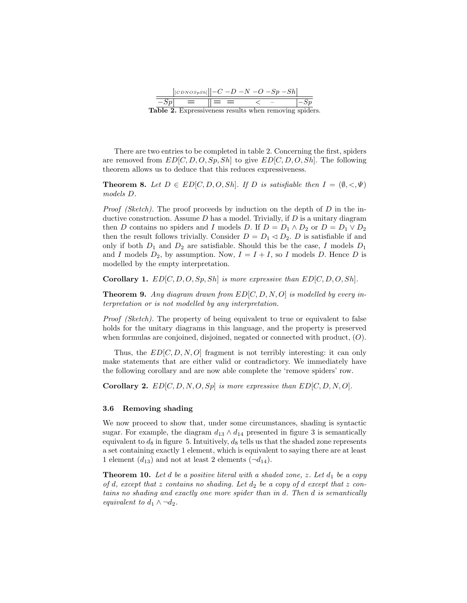

There are two entries to be completed in table 2. Concerning the first, spiders are removed from  $ED[C, D, O, Sp, Sh]$  to give  $ED[C, D, O, Sh]$ . The following theorem allows us to deduce that this reduces expressiveness.

**Theorem 8.** Let  $D \in ED[C, D, O, Sh]$ . If D is satisfiable then  $I = (\emptyset, \langle, \Psi \rangle)$ *models* D*.*

*Proof (Sketch)*. The proof proceeds by induction on the depth of D in the inductive construction. Assume  $D$  has a model. Trivially, if  $D$  is a unitary diagram then D contains no spiders and I models D. If  $D = D_1 \wedge D_2$  or  $D = D_1 \vee D_2$ then the result follows trivially. Consider  $D = D_1 \triangleleft D_2$ . D is satisfiable if and only if both  $D_1$  and  $D_2$  are satisfiable. Should this be the case, I models  $D_1$ and I models  $D_2$ , by assumption. Now,  $I = I + I$ , so I models D. Hence D is modelled by the empty interpretation.

Corollary 1. ED[C, D, O, Sp, Sh] *is more expressive than* ED[C, D, O, Sh]*.*

Theorem 9. *Any diagram drawn from* ED[C, D, N, O] *is modelled by every interpretation or is not modelled by any interpretation.*

*Proof (Sketch).* The property of being equivalent to true or equivalent to false holds for the unitary diagrams in this language, and the property is preserved when formulas are conjoined, disjoined, negated or connected with product,  $(O)$ .

Thus, the  $ED[C, D, N, O]$  fragment is not terribly interesting: it can only make statements that are either valid or contradictory. We immediately have the following corollary and are now able complete the 'remove spiders' row.

**Corollary 2.**  $ED[C, D, N, O, Sp]$  *is more expressive than*  $ED[C, D, N, O]$ *.* 

#### 3.6 Removing shading

We now proceed to show that, under some circumstances, shading is syntactic sugar. For example, the diagram  $d_{13} \wedge d_{14}$  presented in figure 3 is semantically equivalent to  $d_8$  in figure 5. Intuitively,  $d_8$  tells us that the shaded zone represents a set containing exactly 1 element, which is equivalent to saying there are at least 1 element  $(d_{13})$  and not at least 2 elements  $(\neg d_{14})$ .

**Theorem 10.** Let  $d$  be a positive literal with a shaded zone,  $z$ . Let  $d_1$  be a copy *of* d, except that z contains no shading. Let  $d_2$  be a copy of d except that z con*tains no shading and exactly one more spider than in* d*. Then* d *is semantically equivalent to*  $d_1 \wedge \neg d_2$ *.*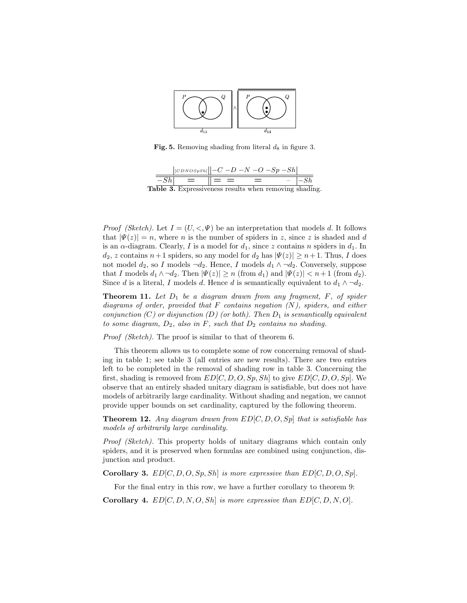

Fig. 5. Removing shading from literal  $d_8$  in figure 3.

|  | $\left _{[CDNOSpSh]} \right    -C -D -N -O -Sp -Sh  $  |  |     |         |
|--|--------------------------------------------------------|--|-----|---------|
|  | $-Sh$ $=$ $\parallel$ $=$ $=$                          |  | $=$ | $  -Sh$ |
|  | Table 3. Expressiveness results when removing shading. |  |     |         |

*Proof (Sketch).* Let  $I = (U, \langle \Psi \rangle)$  be an interpretation that models d. It follows that  $|\Psi(z)| = n$ , where *n* is the number of spiders in *z*, since *z* is shaded and *d* is an  $\alpha$ -diagram. Clearly, I is a model for  $d_1$ , since z contains n spiders in  $d_1$ . In  $d_2$ , z contains  $n+1$  spiders, so any model for  $d_2$  has  $|\Psi(z)| \geq n+1$ . Thus, I does not model  $d_2$ , so I models  $\neg d_2$ . Hence, I models  $d_1 \wedge \neg d_2$ . Conversely, suppose that I models  $d_1 \wedge \neg d_2$ . Then  $|\Psi(z)| \ge n$  (from  $d_1$ ) and  $|\Psi(z)| < n+1$  (from  $d_2$ ). Since d is a literal, I models d. Hence d is semantically equivalent to  $d_1 \wedge \neg d_2$ .

Theorem 11. *Let* D<sup>1</sup> *be a diagram drawn from any fragment,* F*, of spider diagrams of order, provided that* F *contains negation (*N*), spiders, and either conjunction (C) or disjunction (D) (or both). Then*  $D_1$  *is semantically equivalent to some diagram,*  $D_2$ *, also in*  $F$ *, such that*  $D_2$  *contains no shading.* 

*Proof (Sketch).* The proof is similar to that of theorem 6.

This theorem allows us to complete some of row concerning removal of shading in table 1; see table 3 (all entries are new results). There are two entries left to be completed in the removal of shading row in table 3. Concerning the first, shading is removed from  $ED[C, D, O, Sp, Sh]$  to give  $ED[C, D, O, Sp]$ . We observe that an entirely shaded unitary diagram is satisfiable, but does not have models of arbitrarily large cardinality. Without shading and negation, we cannot provide upper bounds on set cardinality, captured by the following theorem.

Theorem 12. *Any diagram drawn from* ED[C, D, O, Sp] *that is satisfiable has models of arbitrarily large cardinality.*

*Proof (Sketch).* This property holds of unitary diagrams which contain only spiders, and it is preserved when formulas are combined using conjunction, disjunction and product.

Corollary 3. ED[C, D, O, Sp, Sh] *is more expressive than* ED[C, D, O, Sp]*.*

For the final entry in this row, we have a further corollary to theorem 9:

**Corollary 4.**  $ED[C, D, N, O, Sh]$  *is more expressive than*  $ED[C, D, N, O]$ *.*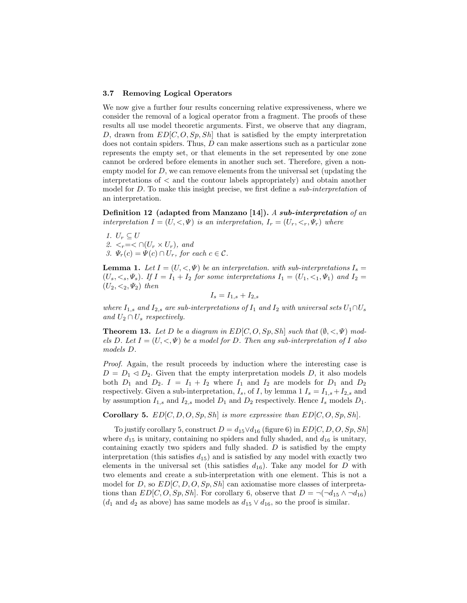#### 3.7 Removing Logical Operators

We now give a further four results concerning relative expressiveness, where we consider the removal of a logical operator from a fragment. The proofs of these results all use model theoretic arguments. First, we observe that any diagram, D, drawn from  $ED[C, O, Sp, Sh]$  that is satisfied by the empty interpretation does not contain spiders. Thus, D can make assertions such as a particular zone represents the empty set, or that elements in the set represented by one zone cannot be ordered before elements in another such set. Therefore, given a nonempty model for  $D$ , we can remove elements from the universal set (updating the interpretations of < and the contour labels appropriately) and obtain another model for D. To make this insight precise, we first define a *sub-interpretation* of an interpretation.

Definition 12 (adapted from Manzano [14]). *A* sub-interpretation *of an interpretation*  $I = (U, \langle \cdot, \Psi \rangle)$  *is an interpretation,*  $I_r = (U_r, \langle \cdot, \Psi \rangle)$  *where* 

1.  $U_r \subset U$ 2.  $\lt_r = \lt \cap (U_r \times U_r)$ *, and 3.*  $\Psi_r(c) = \Psi(c) \cap U_r$ , for each  $c \in \mathcal{C}$ .

**Lemma 1.** Let  $I = (U, \leq, \Psi)$  be an interpretation. with sub-interpretations  $I_s =$  $(U_s, \langle s, \Psi_s \rangle)$ . If  $I = I_1 + I_2$  for some interpretations  $I_1 = (U_1, \langle s_1, \Psi_1 \rangle)$  and  $I_2 =$  $(U_2, <_2, \Psi_2)$  *then* 

$$
I_s = I_{1,s} + I_{2,s}
$$

*where*  $I_{1,s}$  *and*  $I_{2,s}$  *are sub-interpretations of*  $I_1$  *and*  $I_2$  *with universal sets*  $U_1 \cap U_s$ *and*  $U_2 \cap U_s$  *respectively.* 

**Theorem 13.** Let D be a diagram in  $ED[C, O, Sp, Sh]$  such that  $(\emptyset, \langle \Psi \rangle)$  mod*els* D. Let  $I = (U, \langle \varphi, \Psi \rangle)$  *be a model for* D. Then any sub-interpretation of I also *models* D*.*

*Proof.* Again, the result proceeds by induction where the interesting case is  $D = D_1 \triangleleft D_2$ . Given that the empty interpretation models D, it also models both  $D_1$  and  $D_2$ .  $I = I_1 + I_2$  where  $I_1$  and  $I_2$  are models for  $D_1$  and  $D_2$ respectively. Given a sub-interpretation,  $I_s$ , of I, by lemma 1  $I_s = I_{1,s} + I_{2,s}$  and by assumption  $I_{1,s}$  and  $I_{2,s}$  model  $D_1$  and  $D_2$  respectively. Hence  $I_s$  models  $D_1$ .

**Corollary 5.**  $ED[C, D, O, Sp, Sh]$  *is more expressive than*  $ED[C, O, Sp, Sh]$ *.* 

To justify corollary 5, construct  $D = d_{15} \vee d_{16}$  (figure 6) in  $ED[C, D, O, Sp, Sh]$ where  $d_{15}$  is unitary, containing no spiders and fully shaded, and  $d_{16}$  is unitary, containing exactly two spiders and fully shaded. D is satisfied by the empty interpretation (this satisfies  $d_{15}$ ) and is satisfied by any model with exactly two elements in the universal set (this satisfies  $d_{16}$ ). Take any model for D with two elements and create a sub-interpretation with one element. This is not a model for D, so  $ED[C, D, O, Sp, Sh]$  can axiomatise more classes of interpretations than  $ED[C, O, Sp, Sh]$ . For corollary 6, observe that  $D = \neg(\neg d_{15} \land \neg d_{16})$  $(d_1 \text{ and } d_2 \text{ as above})$  has same models as  $d_{15} \vee d_{16}$ , so the proof is similar.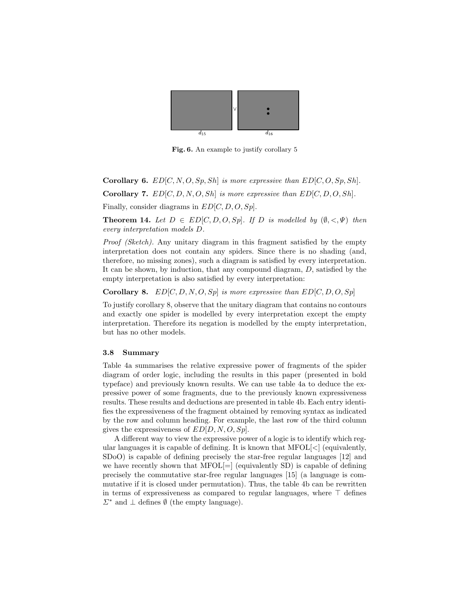

Fig. 6. An example to justify corollary 5

Corollary 6. ED[C, N, O, Sp, Sh] *is more expressive than* ED[C, O, Sp, Sh]*.*

Corollary 7. ED[C, D, N, O, Sh] *is more expressive than* ED[C, D, O, Sh]*.*

Finally, consider diagrams in  $ED[C, D, O, Sp].$ 

**Theorem 14.** Let  $D \in ED[C, D, O, Sp]$ . If D is modelled by  $(\emptyset, \langle, \Psi \rangle)$  then *every interpretation models* D*.*

*Proof (Sketch).* Any unitary diagram in this fragment satisfied by the empty interpretation does not contain any spiders. Since there is no shading (and, therefore, no missing zones), such a diagram is satisfied by every interpretation. It can be shown, by induction, that any compound diagram, D, satisfied by the empty interpretation is also satisfied by every interpretation:

**Corollary 8.**  $ED[C, D, N, O, Sp]$  *is more expressive than*  $ED[C, D, O, Sp]$ 

To justify corollary 8, observe that the unitary diagram that contains no contours and exactly one spider is modelled by every interpretation except the empty interpretation. Therefore its negation is modelled by the empty interpretation, but has no other models.

#### 3.8 Summary

Table 4a summarises the relative expressive power of fragments of the spider diagram of order logic, including the results in this paper (presented in bold typeface) and previously known results. We can use table 4a to deduce the expressive power of some fragments, due to the previously known expressiveness results. These results and deductions are presented in table 4b. Each entry identifies the expressiveness of the fragment obtained by removing syntax as indicated by the row and column heading. For example, the last row of the third column gives the expressiveness of  $ED[D, N, O, Sp].$ 

A different way to view the expressive power of a logic is to identify which regular languages it is capable of defining. It is known that  $\text{MFOL}[\langle \cdot | \text{ (equivalently, } \cdot | \cdot | \cdot | \cdot |)]$ SDoO) is capable of defining precisely the star-free regular languages [12] and we have recently shown that  $MFOL[=]$  (equivalently SD) is capable of defining precisely the commutative star-free regular languages [15] (a language is commutative if it is closed under permutation). Thus, the table 4b can be rewritten in terms of expressiveness as compared to regular languages, where ⊤ defines  $\Sigma^*$  and  $\perp$  defines  $\emptyset$  (the empty language).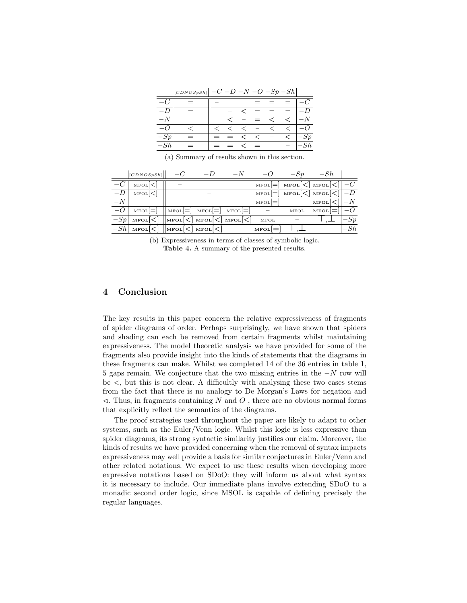|      | $\vert_{[CDNOSpSh]} \vert \vert - C - D - N - O - Sp - Sh \vert$ |  |     |                       |        |             |
|------|------------------------------------------------------------------|--|-----|-----------------------|--------|-------------|
|      |                                                                  |  |     |                       |        | $-\epsilon$ |
|      |                                                                  |  |     | $=$                   | $=$    |             |
| $-N$ |                                                                  |  |     |                       | $\sim$ |             |
|      |                                                                  |  |     | $\vert \vert < \vert$ |        |             |
|      |                                                                  |  |     |                       |        |             |
|      |                                                                  |  | $=$ |                       |        |             |

(a) Summary of results shown in this section.

|       | [CDNOSpSh]                                                                 |                                   |  |                    |                 | $-Sh$                                                             |                |
|-------|----------------------------------------------------------------------------|-----------------------------------|--|--------------------|-----------------|-------------------------------------------------------------------|----------------|
|       | $M_{\text{FOL}}<$                                                          |                                   |  |                    |                 | $M_{\text{FOL}}[=]$ $M_{\text{FOL}}[<]$ $M_{\text{FOL}}[<]$ - $C$ |                |
| $-D$  | $M_{\text{FOL}}<$                                                          |                                   |  |                    |                 | $\text{MFOL} =  \text{MFOL}  <  \text{MFOL}  <   - D$             |                |
| $-N$  |                                                                            |                                   |  |                    | $M_{\rm FOL} =$ | $M_{\rm FOL}$                                                     |                |
|       | $M_{\text{FOL}} =$                                                         | $ $ MFOL $ =$ MFOL $ =$ MFOL $ =$ |  |                    |                 | $MFOL$ $MFOL$ =                                                   | $-\mathcal{O}$ |
| $-Sp$ | $\text{Mrot}[\leq]$ $\vert\vert$ MFOL $[\leq]$ MFOL $[\leq]$ MFOL $[\leq]$ |                                   |  | <b>MFOL</b>        |                 |                                                                   | $S_{D}$        |
|       | $-Sh$   MFOL $[<]$   MFOL $[<]$ MFOL $[<]$                                 |                                   |  | $M_{\text{FOL}}$ = |                 |                                                                   | $-Sh$          |

(b) Expressiveness in terms of classes of symbolic logic. Table 4. A summary of the presented results.

#### 4 Conclusion

The key results in this paper concern the relative expressiveness of fragments of spider diagrams of order. Perhaps surprisingly, we have shown that spiders and shading can each be removed from certain fragments whilst maintaining expressiveness. The model theoretic analysis we have provided for some of the fragments also provide insight into the kinds of statements that the diagrams in these fragments can make. Whilst we completed 14 of the 36 entries in table 1, 5 gaps remain. We conjecture that the two missing entries in the  $-N$  row will  $be <$ , but this is not clear. A difficultly with analysing these two cases stems from the fact that there is no analogy to De Morgan's Laws for negation and  $\triangleleft$ . Thus, in fragments containing N and O, there are no obvious normal forms that explicitly reflect the semantics of the diagrams.

The proof strategies used throughout the paper are likely to adapt to other systems, such as the Euler/Venn logic. Whilst this logic is less expressive than spider diagrams, its strong syntactic similarity justifies our claim. Moreover, the kinds of results we have provided concerning when the removal of syntax impacts expressiveness may well provide a basis for similar conjectures in Euler/Venn and other related notations. We expect to use these results when developing more expressive notations based on SDoO: they will inform us about what syntax it is necessary to include. Our immediate plans involve extending SDoO to a monadic second order logic, since MSOL is capable of defining precisely the regular languages.